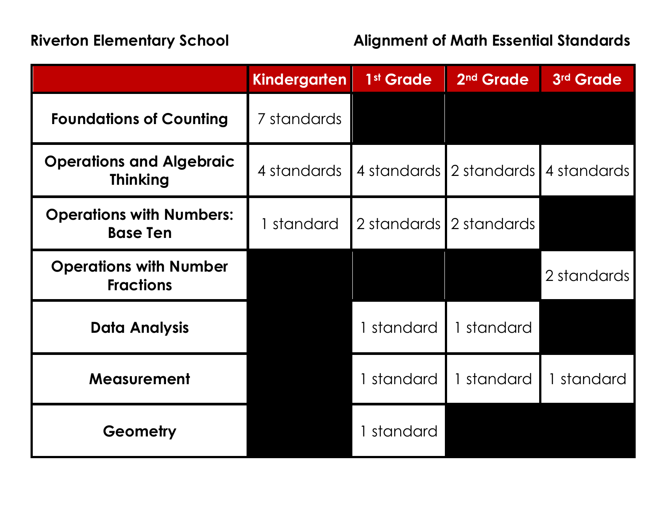|                                                    | <b>Kindergarten</b> | 1 <sup>st</sup> Grade | 2 <sup>nd</sup> Grade   | 3rd Grade                           |
|----------------------------------------------------|---------------------|-----------------------|-------------------------|-------------------------------------|
| <b>Foundations of Counting</b>                     | 7 standards         |                       |                         |                                     |
| <b>Operations and Algebraic</b><br><b>Thinking</b> | 4 standards         |                       |                         | 4 standards 2 standards 4 standards |
| <b>Operations with Numbers:</b><br><b>Base Ten</b> | 1 standard          |                       | 2 standards 2 standards |                                     |
| <b>Operations with Number</b><br><b>Fractions</b>  |                     |                       |                         | 2 standards                         |
| <b>Data Analysis</b>                               |                     | 1 standard            | 1 standard              |                                     |
| <b>Measurement</b>                                 |                     | 1 standard            | 1 standard              | 1 standard                          |
| Geometry                                           |                     | 1 standard            |                         |                                     |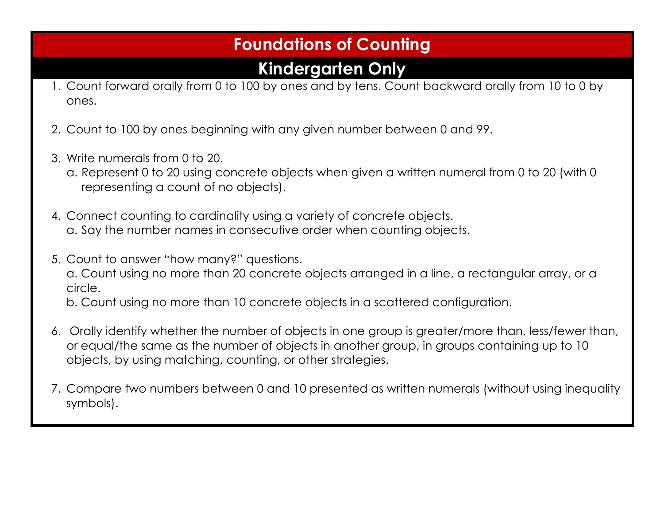## **Foundations of Counting**

## **Kindergarten Only**

- 1. Count forward orally from 0 to 100 by ones and by tens. Count backward orally from 10 to 0 by ones.
- 2. Count to 100 by ones beginning with any given number between 0 and 99.
- 3. Write numerals from 0 to 20.
	- a. Represent 0 to 20 using concrete objects when given a written numeral from 0 to 20 (with 0 representing a count of no objects).
- 4. Connect counting to cardinality using a variety of concrete objects. a. Say the number names in consecutive order when counting objects.
- 5. Count to answer "how many?" questions.
	- a. Count using no more than 20 concrete objects arranged in a line, a rectangular array, or a circle.

b. Count using no more than 10 concrete objects in a scattered configuration.

- 6. Orally identify whether the number of objects in one group is greater/more than, less/fewer than, or equal/the same as the number of objects in another group, in groups containing up to 10 objects, by using matching, counting, or other strategies.
- 7. Compare two numbers between 0 and 10 presented as written numerals (without using inequality symbols).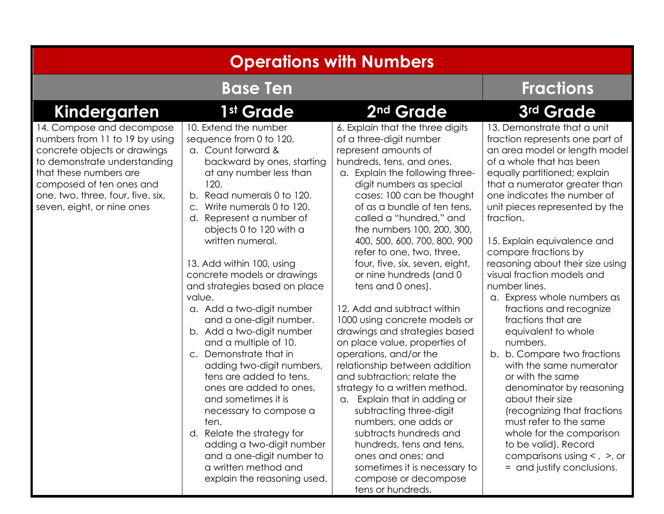| <b>Operations with Numbers</b>                                                                                                                                                                                                                       |                                                                                                                                                                                                                                                                                                                                                                                                                                                                                                                                                                                                                                                                                                                                                                                                                                          |                                                                                                                                                                                                                                                                                                                                                                                                                                                                                                                                                                                                                                                                                                                                                                                                                                                                                                                                                              |                                                                                                                                                                                                                                                                                                                                                                                                                                                                                                                                                                                                                                                                                                                                                                                                                                                      |  |  |  |  |
|------------------------------------------------------------------------------------------------------------------------------------------------------------------------------------------------------------------------------------------------------|------------------------------------------------------------------------------------------------------------------------------------------------------------------------------------------------------------------------------------------------------------------------------------------------------------------------------------------------------------------------------------------------------------------------------------------------------------------------------------------------------------------------------------------------------------------------------------------------------------------------------------------------------------------------------------------------------------------------------------------------------------------------------------------------------------------------------------------|--------------------------------------------------------------------------------------------------------------------------------------------------------------------------------------------------------------------------------------------------------------------------------------------------------------------------------------------------------------------------------------------------------------------------------------------------------------------------------------------------------------------------------------------------------------------------------------------------------------------------------------------------------------------------------------------------------------------------------------------------------------------------------------------------------------------------------------------------------------------------------------------------------------------------------------------------------------|------------------------------------------------------------------------------------------------------------------------------------------------------------------------------------------------------------------------------------------------------------------------------------------------------------------------------------------------------------------------------------------------------------------------------------------------------------------------------------------------------------------------------------------------------------------------------------------------------------------------------------------------------------------------------------------------------------------------------------------------------------------------------------------------------------------------------------------------------|--|--|--|--|
| <b>Base Ten</b>                                                                                                                                                                                                                                      |                                                                                                                                                                                                                                                                                                                                                                                                                                                                                                                                                                                                                                                                                                                                                                                                                                          |                                                                                                                                                                                                                                                                                                                                                                                                                                                                                                                                                                                                                                                                                                                                                                                                                                                                                                                                                              | <b>Fractions</b>                                                                                                                                                                                                                                                                                                                                                                                                                                                                                                                                                                                                                                                                                                                                                                                                                                     |  |  |  |  |
| <b>Kindergarten</b>                                                                                                                                                                                                                                  | 1st Grade                                                                                                                                                                                                                                                                                                                                                                                                                                                                                                                                                                                                                                                                                                                                                                                                                                | 2 <sup>nd</sup> Grade                                                                                                                                                                                                                                                                                                                                                                                                                                                                                                                                                                                                                                                                                                                                                                                                                                                                                                                                        | 3rd Grade                                                                                                                                                                                                                                                                                                                                                                                                                                                                                                                                                                                                                                                                                                                                                                                                                                            |  |  |  |  |
| 14. Compose and decompose<br>numbers from 11 to 19 by using<br>concrete objects or drawings<br>to demonstrate understanding<br>that these numbers are<br>composed of ten ones and<br>one, two, three, four, five, six,<br>seven, eight, or nine ones | 10. Extend the number<br>sequence from 0 to 120.<br>a. Count forward &<br>backward by ones, starting<br>at any number less than<br>120.<br>b. Read numerals 0 to 120.<br>Write numerals 0 to 120.<br>$\mathsf{C}$ .<br>d. Represent a number of<br>objects 0 to 120 with a<br>written numeral.<br>13. Add within 100, using<br>concrete models or drawings<br>and strategies based on place<br>value.<br>a. Add a two-digit number<br>and a one-digit number.<br>b. Add a two-digit number<br>and a multiple of 10.<br>c. Demonstrate that in<br>adding two-digit numbers,<br>tens are added to tens,<br>ones are added to ones,<br>and sometimes it is<br>necessary to compose a<br>ten.<br>d. Relate the strategy for<br>adding a two-digit number<br>and a one-digit number to<br>a written method and<br>explain the reasoning used. | 6. Explain that the three digits<br>of a three-digit number<br>represent amounts of<br>hundreds, tens, and ones.<br>a. Explain the following three-<br>digit numbers as special<br>cases: 100 can be thought<br>of as a bundle of ten tens,<br>called a "hundred," and<br>the numbers 100, 200, 300,<br>400, 500, 600, 700, 800, 900<br>refer to one, two, three,<br>four, five, six, seven, eight,<br>or nine hundreds (and 0<br>tens and 0 ones).<br>12. Add and subtract within<br>1000 using concrete models or<br>drawings and strategies based<br>on place value, properties of<br>operations, and/or the<br>relationship between addition<br>and subtraction; relate the<br>strategy to a written method.<br>a. Explain that in adding or<br>subtracting three-digit<br>numbers, one adds or<br>subtracts hundreds and<br>hundreds, tens and tens,<br>ones and ones; and<br>sometimes it is necessary to<br>compose or decompose<br>tens or hundreds. | 13. Demonstrate that a unit<br>fraction represents one part of<br>an area model or length model<br>of a whole that has been<br>equally partitioned; explain<br>that a numerator greater than<br>one indicates the number of<br>unit pieces represented by the<br>fraction.<br>15. Explain equivalence and<br>compare fractions by<br>reasoning about their size using<br>visual fraction models and<br>number lines.<br>a. Express whole numbers as<br>fractions and recognize<br>fractions that are<br>equivalent to whole<br>numbers.<br>b. b. Compare two fractions<br>with the same numerator<br>or with the same<br>denominator by reasoning<br>about their size<br>(recognizing that fractions<br>must refer to the same<br>whole for the comparison<br>to be valid). Record<br>comparisons using $<$ , $>$ , or<br>= and justify conclusions. |  |  |  |  |